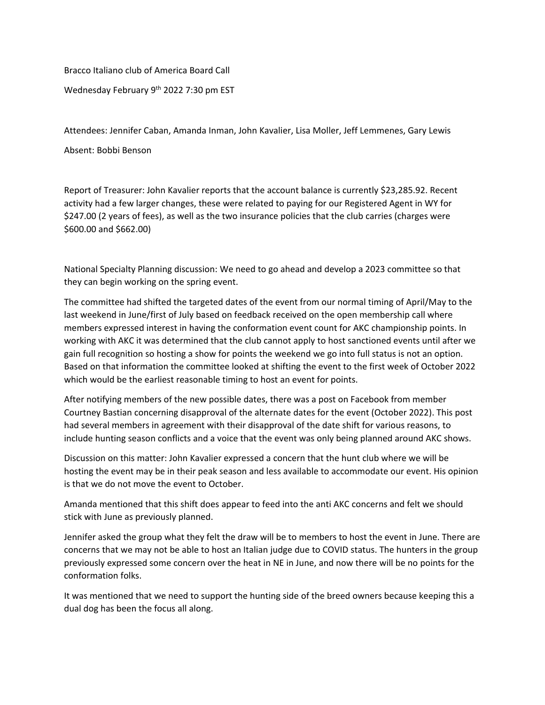Bracco Italiano club of America Board Call Wednesday February 9<sup>th</sup> 2022 7:30 pm EST

Attendees: Jennifer Caban, Amanda Inman, John Kavalier, Lisa Moller, Jeff Lemmenes, Gary Lewis

Absent: Bobbi Benson

Report of Treasurer: John Kavalier reports that the account balance is currently \$23,285.92. Recent activity had a few larger changes, these were related to paying for our Registered Agent in WY for \$247.00 (2 years of fees), as well as the two insurance policies that the club carries (charges were \$600.00 and \$662.00)

National Specialty Planning discussion: We need to go ahead and develop a 2023 committee so that they can begin working on the spring event.

The committee had shifted the targeted dates of the event from our normal timing of April/May to the last weekend in June/first of July based on feedback received on the open membership call where members expressed interest in having the conformation event count for AKC championship points. In working with AKC it was determined that the club cannot apply to host sanctioned events until after we gain full recognition so hosting a show for points the weekend we go into full status is not an option. Based on that information the committee looked at shifting the event to the first week of October 2022 which would be the earliest reasonable timing to host an event for points.

After notifying members of the new possible dates, there was a post on Facebook from member Courtney Bastian concerning disapproval of the alternate dates for the event (October 2022). This post had several members in agreement with their disapproval of the date shift for various reasons, to include hunting season conflicts and a voice that the event was only being planned around AKC shows.

Discussion on this matter: John Kavalier expressed a concern that the hunt club where we will be hosting the event may be in their peak season and less available to accommodate our event. His opinion is that we do not move the event to October.

Amanda mentioned that this shift does appear to feed into the anti AKC concerns and felt we should stick with June as previously planned.

Jennifer asked the group what they felt the draw will be to members to host the event in June. There are concerns that we may not be able to host an Italian judge due to COVID status. The hunters in the group previously expressed some concern over the heat in NE in June, and now there will be no points for the conformation folks.

It was mentioned that we need to support the hunting side of the breed owners because keeping this a dual dog has been the focus all along.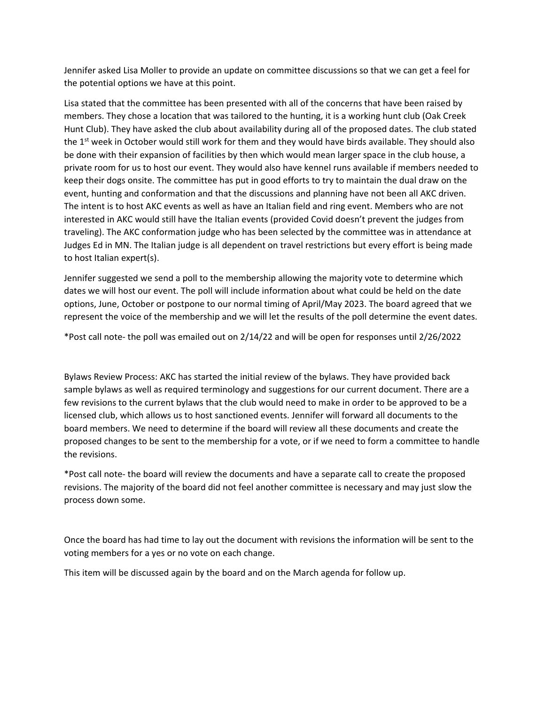Jennifer asked Lisa Moller to provide an update on committee discussions so that we can get a feel for the potential options we have at this point.

Lisa stated that the committee has been presented with all of the concerns that have been raised by members. They chose a location that was tailored to the hunting, it is a working hunt club (Oak Creek Hunt Club). They have asked the club about availability during all of the proposed dates. The club stated the 1<sup>st</sup> week in October would still work for them and they would have birds available. They should also be done with their expansion of facilities by then which would mean larger space in the club house, a private room for us to host our event. They would also have kennel runs available if members needed to keep their dogs onsite. The committee has put in good efforts to try to maintain the dual draw on the event, hunting and conformation and that the discussions and planning have not been all AKC driven. The intent is to host AKC events as well as have an Italian field and ring event. Members who are not interested in AKC would still have the Italian events (provided Covid doesn't prevent the judges from traveling). The AKC conformation judge who has been selected by the committee was in attendance at Judges Ed in MN. The Italian judge is all dependent on travel restrictions but every effort is being made to host Italian expert(s).

Jennifer suggested we send a poll to the membership allowing the majority vote to determine which dates we will host our event. The poll will include information about what could be held on the date options, June, October or postpone to our normal timing of April/May 2023. The board agreed that we represent the voice of the membership and we will let the results of the poll determine the event dates.

\*Post call note- the poll was emailed out on 2/14/22 and will be open for responses until 2/26/2022

Bylaws Review Process: AKC has started the initial review of the bylaws. They have provided back sample bylaws as well as required terminology and suggestions for our current document. There are a few revisions to the current bylaws that the club would need to make in order to be approved to be a licensed club, which allows us to host sanctioned events. Jennifer will forward all documents to the board members. We need to determine if the board will review all these documents and create the proposed changes to be sent to the membership for a vote, or if we need to form a committee to handle the revisions.

\*Post call note- the board will review the documents and have a separate call to create the proposed revisions. The majority of the board did not feel another committee is necessary and may just slow the process down some.

Once the board has had time to lay out the document with revisions the information will be sent to the voting members for a yes or no vote on each change.

This item will be discussed again by the board and on the March agenda for follow up.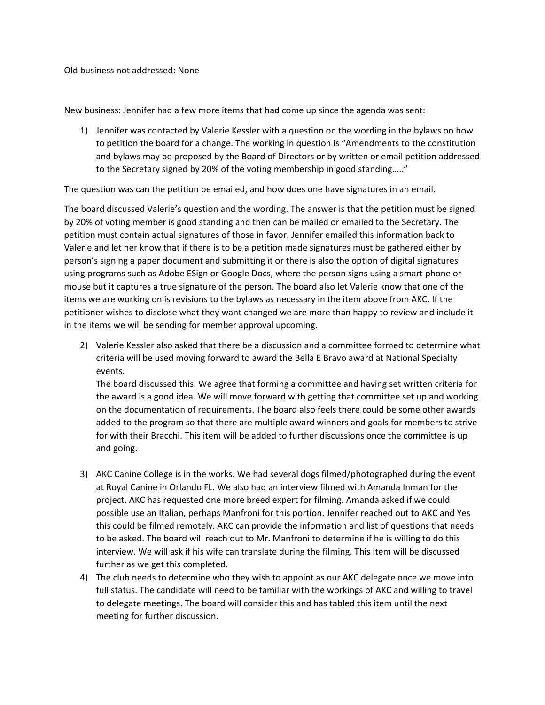Old business not addressed: None

New business: Jennifer had a few more items that had come up since the agenda was sent:

1) Jennifer was contacted by Valerie Kessler with a question on the wording in the bylaws on how to petition the board for a change. The working in question is "Amendments to the constitution and bylaws may be proposed by the Board of Directors or by written or email petition addressed to the Secretary signed by 20% of the voting membership in good standing….."

The question was can the petition be emailed, and how does one have signatures in an email.

The board discussed Valerie's question and the wording. The answer is that the petition must be signed by 20% of voting member is good standing and then can be mailed or emailed to the Secretary. The petition must contain actual signatures of those in favor. Jennifer emailed this information back to Valerie and let her know that if there is to be a petition made signatures must be gathered either by person's signing a paper document and submitting it or there is also the option of digital signatures using programs such as Adobe ESign or Google Docs, where the person signs using a smart phone or mouse but it captures a true signature of the person. The board also let Valerie know that one of the items we are working on is revisions to the bylaws as necessary in the item above from AKC. If the petitioner wishes to disclose what they want changed we are more than happy to review and include it in the items we will be sending for member approval upcoming.

2) Valerie Kessler also asked that there be a discussion and a committee formed to determine what criteria will be used moving forward to award the Bella E Bravo award at National Specialty events.

The board discussed this. We agree that forming a committee and having set written criteria for the award is a good idea. We will move forward with getting that committee set up and working on the documentation of requirements. The board also feels there could be some other awards added to the program so that there are multiple award winners and goals for members to strive for with their Bracchi. This item will be added to further discussions once the committee is up and going.

- 3) AKC Canine College is in the works. We had several dogs filmed/photographed during the event at Royal Canine in Orlando FL. We also had an interview filmed with Amanda Inman for the project. AKC has requested one more breed expert for filming. Amanda asked if we could possible use an Italian, perhaps Manfroni for this portion. Jennifer reached out to AKC and Yes this could be filmed remotely. AKC can provide the information and list of questions that needs to be asked. The board will reach out to Mr. Manfroni to determine if he is willing to do this interview. We will ask if his wife can translate during the filming. This item will be discussed further as we get this completed.
- 4) The club needs to determine who they wish to appoint as our AKC delegate once we move into full status. The candidate will need to be familiar with the workings of AKC and willing to travel to delegate meetings. The board will consider this and has tabled this item until the next meeting for further discussion.